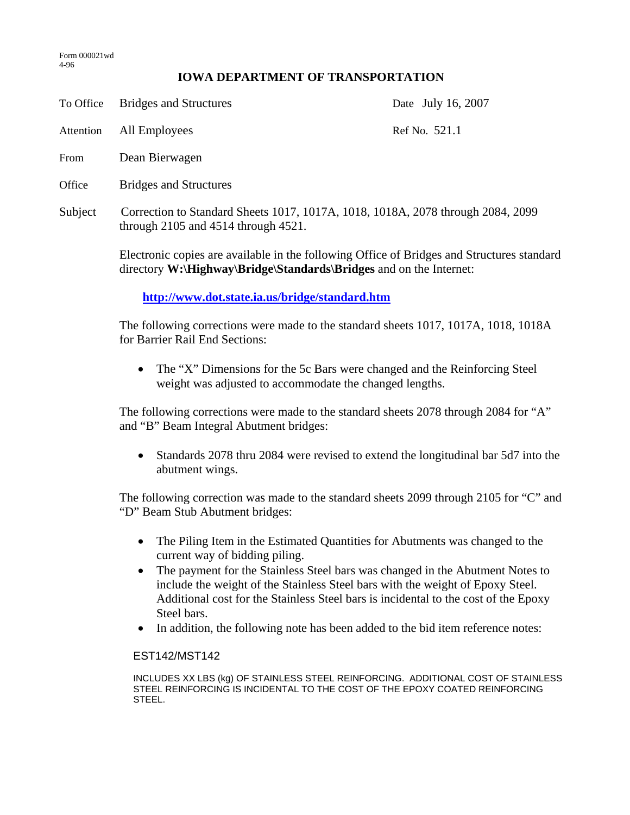## **IOWA DEPARTMENT OF TRANSPORTATION**

To Office Bridges and Structures Date July 16, 2007

Attention All Employees Ref No. 521.1

- From Dean Bierwagen
- Office Bridges and Structures
- Subject Correction to Standard Sheets 1017, 1017A, 1018, 1018A, 2078 through 2084, 2099 through 2105 and 4514 through 4521.

Electronic copies are available in the following Office of Bridges and Structures standard directory **W:\Highway\Bridge\Standards\Bridges** and on the Internet:

## **http://www.dot.state.ia.us/bridge/standard.htm**

The following corrections were made to the standard sheets 1017, 1017A, 1018, 1018A for Barrier Rail End Sections:

• The "X" Dimensions for the 5c Bars were changed and the Reinforcing Steel weight was adjusted to accommodate the changed lengths.

The following corrections were made to the standard sheets 2078 through 2084 for "A" and "B" Beam Integral Abutment bridges:

• Standards 2078 thru 2084 were revised to extend the longitudinal bar 5d7 into the abutment wings.

The following correction was made to the standard sheets 2099 through 2105 for "C" and "D" Beam Stub Abutment bridges:

- The Piling Item in the Estimated Quantities for Abutments was changed to the current way of bidding piling.
- The payment for the Stainless Steel bars was changed in the Abutment Notes to include the weight of the Stainless Steel bars with the weight of Epoxy Steel. Additional cost for the Stainless Steel bars is incidental to the cost of the Epoxy Steel bars.
- In addition, the following note has been added to the bid item reference notes:

## EST142/MST142

INCLUDES XX LBS (kg) OF STAINLESS STEEL REINFORCING. ADDITIONAL COST OF STAINLESS STEEL REINFORCING IS INCIDENTAL TO THE COST OF THE EPOXY COATED REINFORCING STEEL.